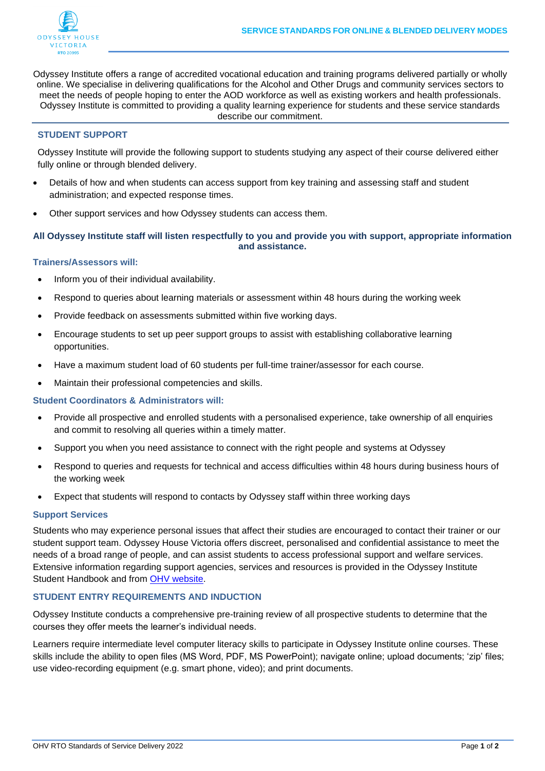

Odyssey Institute offers a range of accredited vocational education and training programs delivered partially or wholly online. We specialise in delivering qualifications for the Alcohol and Other Drugs and community services sectors to meet the needs of people hoping to enter the AOD workforce as well as existing workers and health professionals. Odyssey Institute is committed to providing a quality learning experience for students and these service standards describe our commitment.

### **STUDENT SUPPORT**

Odyssey Institute will provide the following support to students studying any aspect of their course delivered either fully online or through blended delivery.

- Details of how and when students can access support from key training and assessing staff and student administration; and expected response times.
- Other support services and how Odyssey students can access them.

## **All Odyssey Institute staff will listen respectfully to you and provide you with support, appropriate information and assistance.**

### **Trainers/Assessors will:**

- Inform you of their individual availability.
- Respond to queries about learning materials or assessment within 48 hours during the working week
- Provide feedback on assessments submitted within five working days.
- Encourage students to set up peer support groups to assist with establishing collaborative learning opportunities.
- Have a maximum student load of 60 students per full-time trainer/assessor for each course.
- Maintain their professional competencies and skills.

**Student Coordinators & Administrators will:** 

- Provide all prospective and enrolled students with a personalised experience, take ownership of all enquiries and commit to resolving all queries within a timely matter.
- Support you when you need assistance to connect with the right people and systems at Odyssey
- Respond to queries and requests for technical and access difficulties within 48 hours during business hours of the working week
- Expect that students will respond to contacts by Odyssey staff within three working days

### **Support Services**

Students who may experience personal issues that affect their studies are encouraged to contact their trainer or our student support team. Odyssey House Victoria offers discreet, personalised and confidential assistance to meet the needs of a broad range of people, and can assist students to access professional support and welfare services. Extensive information regarding support agencies, services and resources is provided in the Odyssey Institute Student Handbook and from [OHV website.](https://odyssey.org.au/getting-help/)

# **STUDENT ENTRY REQUIREMENTS AND INDUCTION**

Odyssey Institute conducts a comprehensive pre-training review of all prospective students to determine that the courses they offer meets the learner's individual needs.

Learners require intermediate level computer literacy skills to participate in Odyssey Institute online courses. These skills include the ability to open files (MS Word, PDF, MS PowerPoint); navigate online; upload documents; 'zip' files; use video-recording equipment (e.g. smart phone, video); and print documents.